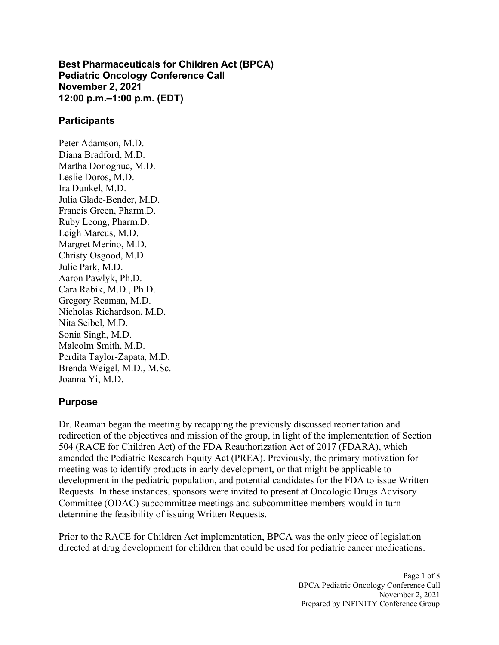**Best Pharmaceuticals for Children Act (BPCA) Pediatric Oncology Conference Call November 2, 2021 12:00 p.m.–1:00 p.m. (EDT)**

#### **Participants**

Peter Adamson, M.D. Diana Bradford, M.D. Martha Donoghue, M.D. Leslie Doros, M.D. Ira Dunkel, M.D. Julia Glade-Bender, M.D. Francis Green, Pharm.D. Ruby Leong, Pharm.D. Leigh Marcus, M.D. Margret Merino, M.D. Christy Osgood, M.D. Julie Park, M.D. Aaron Pawlyk, Ph.D. Cara Rabik, M.D., Ph.D. Gregory Reaman, M.D. Nicholas Richardson, M.D. Nita Seibel, M.D. Sonia Singh, M.D. Malcolm Smith, M.D. Perdita Taylor-Zapata, M.D. Brenda Weigel, M.D., M.Sc. Joanna Yi, M.D.

#### **Purpose**

Dr. Reaman began the meeting by recapping the previously discussed reorientation and redirection of the objectives and mission of the group, in light of the implementation of Section 504 (RACE for Children Act) of the FDA Reauthorization Act of 2017 (FDARA), which amended the Pediatric Research Equity Act (PREA). Previously, the primary motivation for meeting was to identify products in early development, or that might be applicable to development in the pediatric population, and potential candidates for the FDA to issue Written Requests. In these instances, sponsors were invited to present at Oncologic Drugs Advisory Committee (ODAC) subcommittee meetings and subcommittee members would in turn determine the feasibility of issuing Written Requests.

Prior to the RACE for Children Act implementation, BPCA was the only piece of legislation directed at drug development for children that could be used for pediatric cancer medications.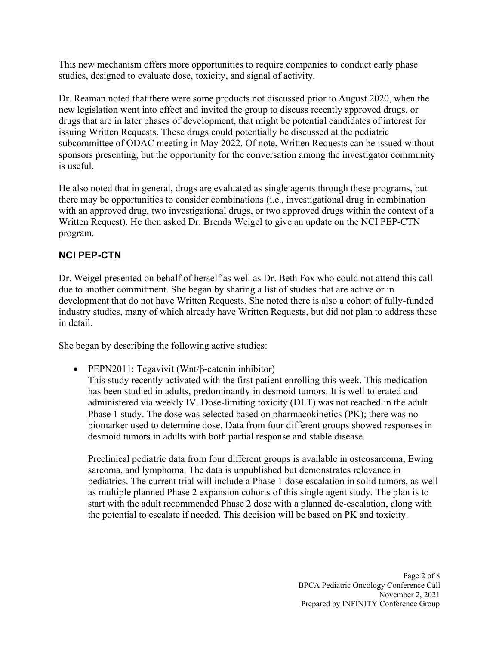This new mechanism offers more opportunities to require companies to conduct early phase studies, designed to evaluate dose, toxicity, and signal of activity.

Dr. Reaman noted that there were some products not discussed prior to August 2020, when the new legislation went into effect and invited the group to discuss recently approved drugs, or drugs that are in later phases of development, that might be potential candidates of interest for issuing Written Requests. These drugs could potentially be discussed at the pediatric subcommittee of ODAC meeting in May 2022. Of note, Written Requests can be issued without sponsors presenting, but the opportunity for the conversation among the investigator community is useful.

He also noted that in general, drugs are evaluated as single agents through these programs, but there may be opportunities to consider combinations (i.e., investigational drug in combination with an approved drug, two investigational drugs, or two approved drugs within the context of a Written Request). He then asked Dr. Brenda Weigel to give an update on the NCI PEP-CTN program.

## **NCI PEP-CTN**

Dr. Weigel presented on behalf of herself as well as Dr. Beth Fox who could not attend this call due to another commitment. She began by sharing a list of studies that are active or in development that do not have Written Requests. She noted there is also a cohort of fully-funded industry studies, many of which already have Written Requests, but did not plan to address these in detail.

She began by describing the following active studies:

• PEPN2011: Tegavivit (Wnt/β-catenin inhibitor)

This study recently activated with the first patient enrolling this week. This medication has been studied in adults, predominantly in desmoid tumors. It is well tolerated and administered via weekly IV. Dose-limiting toxicity (DLT) was not reached in the adult Phase 1 study. The dose was selected based on pharmacokinetics (PK); there was no biomarker used to determine dose. Data from four different groups showed responses in desmoid tumors in adults with both partial response and stable disease.

Preclinical pediatric data from four different groups is available in osteosarcoma, Ewing sarcoma, and lymphoma. The data is unpublished but demonstrates relevance in pediatrics. The current trial will include a Phase 1 dose escalation in solid tumors, as well as multiple planned Phase 2 expansion cohorts of this single agent study. The plan is to start with the adult recommended Phase 2 dose with a planned de-escalation, along with the potential to escalate if needed. This decision will be based on PK and toxicity.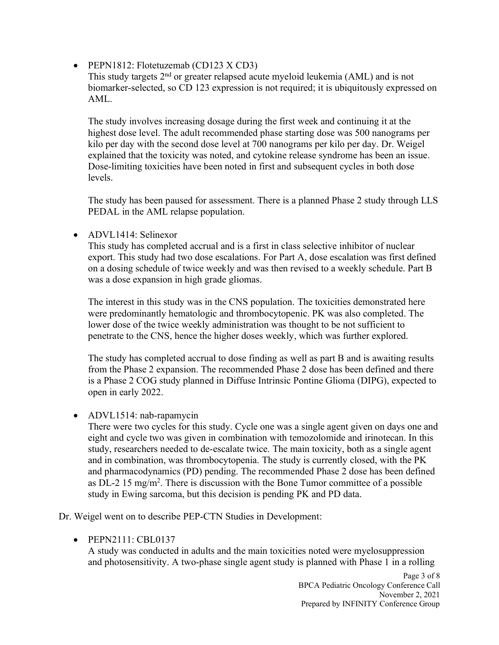• PEPN1812: Flotetuzemab (CD123 X CD3)

This study targets 2<sup>nd</sup> or greater relapsed acute myeloid leukemia (AML) and is not biomarker-selected, so CD 123 expression is not required; it is ubiquitously expressed on AML.

The study involves increasing dosage during the first week and continuing it at the highest dose level. The adult recommended phase starting dose was 500 nanograms per kilo per day with the second dose level at 700 nanograms per kilo per day. Dr. Weigel explained that the toxicity was noted, and cytokine release syndrome has been an issue. Dose-limiting toxicities have been noted in first and subsequent cycles in both dose levels.

The study has been paused for assessment. There is a planned Phase 2 study through LLS PEDAL in the AML relapse population.

• ADVL1414: Selinexor

This study has completed accrual and is a first in class selective inhibitor of nuclear export. This study had two dose escalations. For Part A, dose escalation was first defined on a dosing schedule of twice weekly and was then revised to a weekly schedule. Part B was a dose expansion in high grade gliomas.

The interest in this study was in the CNS population. The toxicities demonstrated here were predominantly hematologic and thrombocytopenic. PK was also completed. The lower dose of the twice weekly administration was thought to be not sufficient to penetrate to the CNS, hence the higher doses weekly, which was further explored.

The study has completed accrual to dose finding as well as part B and is awaiting results from the Phase 2 expansion. The recommended Phase 2 dose has been defined and there is a Phase 2 COG study planned in Diffuse Intrinsic Pontine Glioma (DIPG), expected to open in early 2022.

• ADVL1514: nab-rapamycin

There were two cycles for this study. Cycle one was a single agent given on days one and eight and cycle two was given in combination with temozolomide and irinotecan. In this study, researchers needed to de-escalate twice. The main toxicity, both as a single agent and in combination, was thrombocytopenia. The study is currently closed, with the PK and pharmacodynamics (PD) pending. The recommended Phase 2 dose has been defined as DL-2 15 mg/m<sup>2</sup>. There is discussion with the Bone Tumor committee of a possible study in Ewing sarcoma, but this decision is pending PK and PD data.

Dr. Weigel went on to describe PEP-CTN Studies in Development:

• PEPN2111: CBL0137

A study was conducted in adults and the main toxicities noted were myelosuppression and photosensitivity. A two-phase single agent study is planned with Phase 1 in a rolling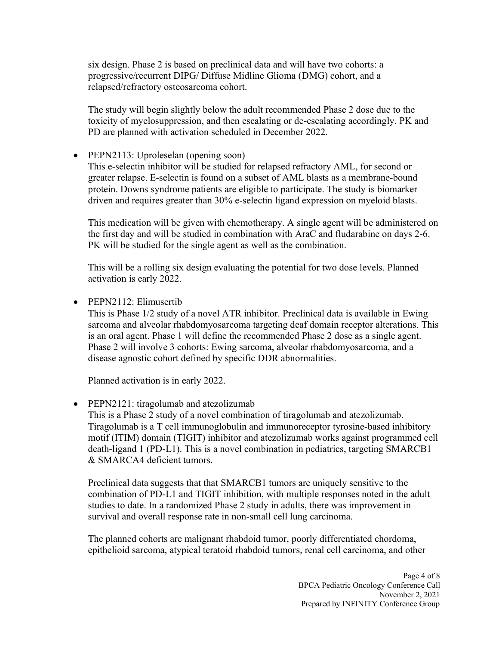six design. Phase 2 is based on preclinical data and will have two cohorts: a progressive/recurrent DIPG/ Diffuse Midline Glioma (DMG) cohort, and a relapsed/refractory osteosarcoma cohort.

The study will begin slightly below the adult recommended Phase 2 dose due to the toxicity of myelosuppression, and then escalating or de-escalating accordingly. PK and PD are planned with activation scheduled in December 2022.

• PEPN2113: Uproleselan (opening soon)

This e-selectin inhibitor will be studied for relapsed refractory AML, for second or greater relapse. E-selectin is found on a subset of AML blasts as a membrane-bound protein. Downs syndrome patients are eligible to participate. The study is biomarker driven and requires greater than 30% e-selectin ligand expression on myeloid blasts.

This medication will be given with chemotherapy. A single agent will be administered on the first day and will be studied in combination with AraC and fludarabine on days 2-6. PK will be studied for the single agent as well as the combination.

This will be a rolling six design evaluating the potential for two dose levels. Planned activation is early 2022.

• PEPN2112: Elimusertib

This is Phase 1/2 study of a novel ATR inhibitor. Preclinical data is available in Ewing sarcoma and alveolar rhabdomyosarcoma targeting deaf domain receptor alterations. This is an oral agent. Phase 1 will define the recommended Phase 2 dose as a single agent. Phase 2 will involve 3 cohorts: Ewing sarcoma, alveolar rhabdomyosarcoma, and a disease agnostic cohort defined by specific DDR abnormalities.

Planned activation is in early 2022.

• PEPN2121: tiragolumab and atezolizumab

This is a Phase 2 study of a novel combination of tiragolumab and atezolizumab. Tiragolumab is a T cell immunoglobulin and immunoreceptor tyrosine-based inhibitory motif (ITIM) domain (TIGIT) inhibitor and atezolizumab works against programmed cell death-ligand 1 (PD-L1). This is a novel combination in pediatrics, targeting SMARCB1 & SMARCA4 deficient tumors.

Preclinical data suggests that that SMARCB1 tumors are uniquely sensitive to the combination of PD-L1 and TIGIT inhibition, with multiple responses noted in the adult studies to date. In a randomized Phase 2 study in adults, there was improvement in survival and overall response rate in non-small cell lung carcinoma.

The planned cohorts are malignant rhabdoid tumor, poorly differentiated chordoma, epithelioid sarcoma, atypical teratoid rhabdoid tumors, renal cell carcinoma, and other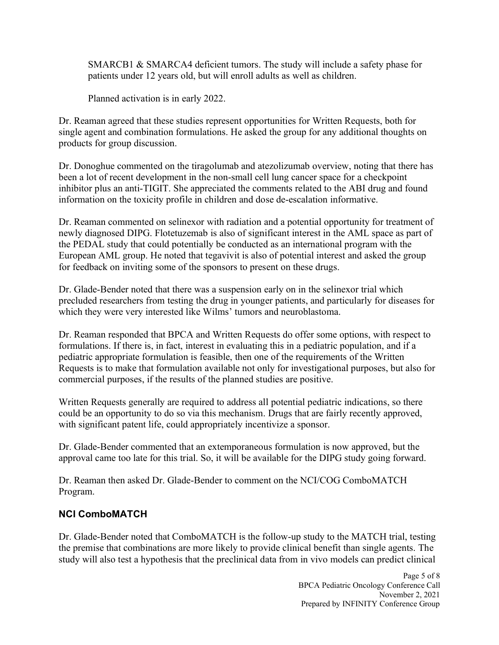SMARCB1 & SMARCA4 deficient tumors. The study will include a safety phase for patients under 12 years old, but will enroll adults as well as children.

Planned activation is in early 2022.

Dr. Reaman agreed that these studies represent opportunities for Written Requests, both for single agent and combination formulations. He asked the group for any additional thoughts on products for group discussion.

Dr. Donoghue commented on the tiragolumab and atezolizumab overview, noting that there has been a lot of recent development in the non-small cell lung cancer space for a checkpoint inhibitor plus an anti-TIGIT. She appreciated the comments related to the ABI drug and found information on the toxicity profile in children and dose de-escalation informative.

Dr. Reaman commented on selinexor with radiation and a potential opportunity for treatment of newly diagnosed DIPG. Flotetuzemab is also of significant interest in the AML space as part of the PEDAL study that could potentially be conducted as an international program with the European AML group. He noted that tegavivit is also of potential interest and asked the group for feedback on inviting some of the sponsors to present on these drugs.

Dr. Glade-Bender noted that there was a suspension early on in the selinexor trial which precluded researchers from testing the drug in younger patients, and particularly for diseases for which they were very interested like Wilms' tumors and neuroblastoma.

Dr. Reaman responded that BPCA and Written Requests do offer some options, with respect to formulations. If there is, in fact, interest in evaluating this in a pediatric population, and if a pediatric appropriate formulation is feasible, then one of the requirements of the Written Requests is to make that formulation available not only for investigational purposes, but also for commercial purposes, if the results of the planned studies are positive.

Written Requests generally are required to address all potential pediatric indications, so there could be an opportunity to do so via this mechanism. Drugs that are fairly recently approved, with significant patent life, could appropriately incentivize a sponsor.

Dr. Glade-Bender commented that an extemporaneous formulation is now approved, but the approval came too late for this trial. So, it will be available for the DIPG study going forward.

Dr. Reaman then asked Dr. Glade-Bender to comment on the NCI/COG ComboMATCH Program.

## **NCI ComboMATCH**

Dr. Glade-Bender noted that ComboMATCH is the follow-up study to the MATCH trial, testing the premise that combinations are more likely to provide clinical benefit than single agents. The study will also test a hypothesis that the preclinical data from in vivo models can predict clinical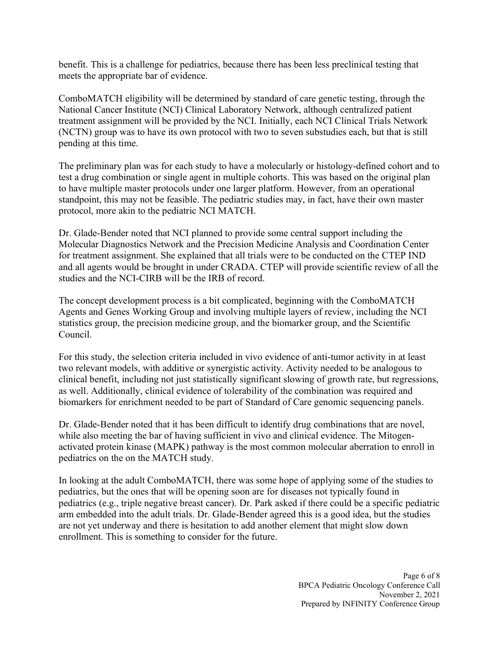benefit. This is a challenge for pediatrics, because there has been less preclinical testing that meets the appropriate bar of evidence.

ComboMATCH eligibility will be determined by standard of care genetic testing, through the National Cancer Institute (NCI) Clinical Laboratory Network, although centralized patient treatment assignment will be provided by the NCI. Initially, each NCI Clinical Trials Network (NCTN) group was to have its own protocol with two to seven substudies each, but that is still pending at this time.

The preliminary plan was for each study to have a molecularly or histology-defined cohort and to test a drug combination or single agent in multiple cohorts. This was based on the original plan to have multiple master protocols under one larger platform. However, from an operational standpoint, this may not be feasible. The pediatric studies may, in fact, have their own master protocol, more akin to the pediatric NCI MATCH.

Dr. Glade-Bender noted that NCI planned to provide some central support including the Molecular Diagnostics Network and the Precision Medicine Analysis and Coordination Center for treatment assignment. She explained that all trials were to be conducted on the CTEP IND and all agents would be brought in under CRADA. CTEP will provide scientific review of all the studies and the NCI-CIRB will be the IRB of record.

The concept development process is a bit complicated, beginning with the ComboMATCH Agents and Genes Working Group and involving multiple layers of review, including the NCI statistics group, the precision medicine group, and the biomarker group, and the Scientific Council.

For this study, the selection criteria included in vivo evidence of anti-tumor activity in at least two relevant models, with additive or synergistic activity. Activity needed to be analogous to clinical benefit, including not just statistically significant slowing of growth rate, but regressions, as well. Additionally, clinical evidence of tolerability of the combination was required and biomarkers for enrichment needed to be part of Standard of Care genomic sequencing panels.

Dr. Glade-Bender noted that it has been difficult to identify drug combinations that are novel, while also meeting the bar of having sufficient in vivo and clinical evidence. The Mitogenactivated protein kinase (MAPK) pathway is the most common molecular aberration to enroll in pediatrics on the on the MATCH study.

In looking at the adult ComboMATCH, there was some hope of applying some of the studies to pediatrics, but the ones that will be opening soon are for diseases not typically found in pediatrics (e.g., triple negative breast cancer). Dr. Park asked if there could be a specific pediatric arm embedded into the adult trials. Dr. Glade-Bender agreed this is a good idea, but the studies are not yet underway and there is hesitation to add another element that might slow down enrollment. This is something to consider for the future.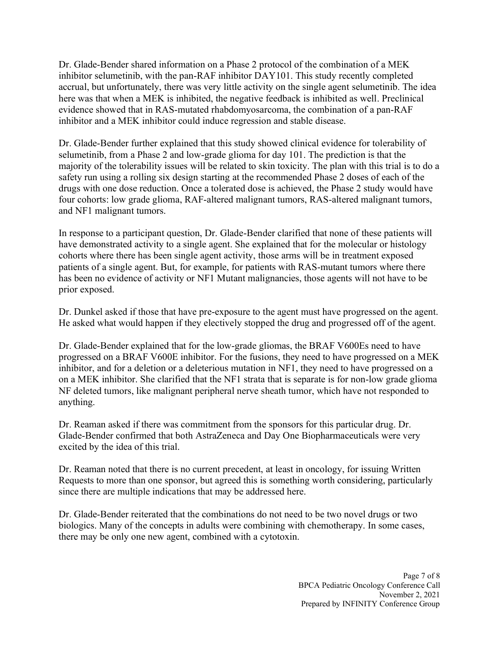Dr. Glade-Bender shared information on a Phase 2 protocol of the combination of a MEK inhibitor selumetinib, with the pan-RAF inhibitor DAY101. This study recently completed accrual, but unfortunately, there was very little activity on the single agent selumetinib. The idea here was that when a MEK is inhibited, the negative feedback is inhibited as well. Preclinical evidence showed that in RAS-mutated rhabdomyosarcoma, the combination of a pan-RAF inhibitor and a MEK inhibitor could induce regression and stable disease.

Dr. Glade-Bender further explained that this study showed clinical evidence for tolerability of selumetinib, from a Phase 2 and low-grade glioma for day 101. The prediction is that the majority of the tolerability issues will be related to skin toxicity. The plan with this trial is to do a safety run using a rolling six design starting at the recommended Phase 2 doses of each of the drugs with one dose reduction. Once a tolerated dose is achieved, the Phase 2 study would have four cohorts: low grade glioma, RAF-altered malignant tumors, RAS-altered malignant tumors, and NF1 malignant tumors.

In response to a participant question, Dr. Glade-Bender clarified that none of these patients will have demonstrated activity to a single agent. She explained that for the molecular or histology cohorts where there has been single agent activity, those arms will be in treatment exposed patients of a single agent. But, for example, for patients with RAS-mutant tumors where there has been no evidence of activity or NF1 Mutant malignancies, those agents will not have to be prior exposed.

Dr. Dunkel asked if those that have pre-exposure to the agent must have progressed on the agent. He asked what would happen if they electively stopped the drug and progressed off of the agent.

Dr. Glade-Bender explained that for the low-grade gliomas, the BRAF V600Es need to have progressed on a BRAF V600E inhibitor. For the fusions, they need to have progressed on a MEK inhibitor, and for a deletion or a deleterious mutation in NF1, they need to have progressed on a on a MEK inhibitor. She clarified that the NF1 strata that is separate is for non-low grade glioma NF deleted tumors, like malignant peripheral nerve sheath tumor, which have not responded to anything.

Dr. Reaman asked if there was commitment from the sponsors for this particular drug. Dr. Glade-Bender confirmed that both AstraZeneca and Day One Biopharmaceuticals were very excited by the idea of this trial.

Dr. Reaman noted that there is no current precedent, at least in oncology, for issuing Written Requests to more than one sponsor, but agreed this is something worth considering, particularly since there are multiple indications that may be addressed here.

Dr. Glade-Bender reiterated that the combinations do not need to be two novel drugs or two biologics. Many of the concepts in adults were combining with chemotherapy. In some cases, there may be only one new agent, combined with a cytotoxin.